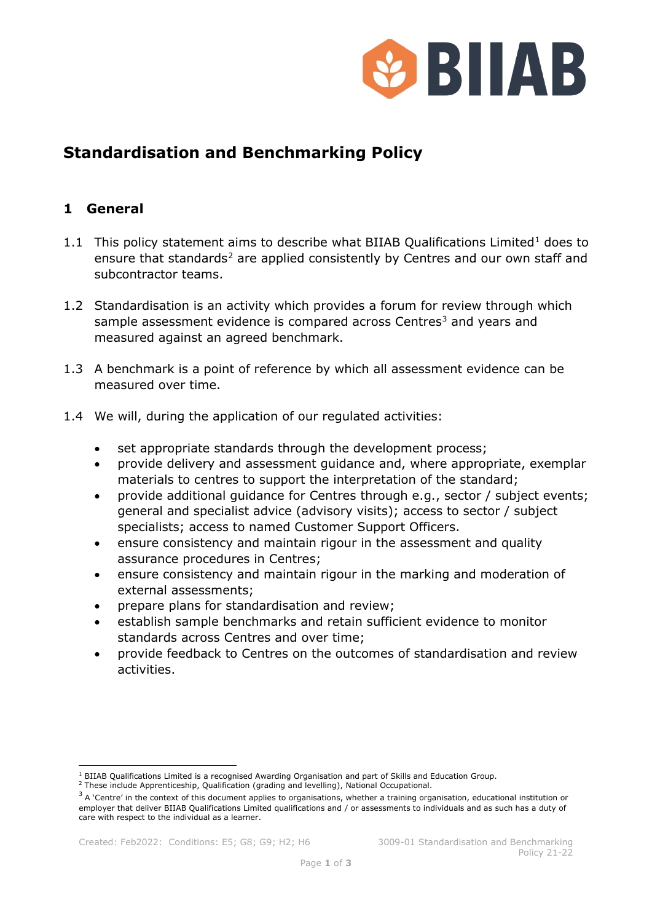

# **Standardisation and Benchmarking Policy**

## **1 General**

- [1](#page-0-0).1 This policy statement aims to describe what BIIAB Qualifications Limited<sup>1</sup> does to ensure that standards<sup>[2](#page-0-1)</sup> are applied consistently by Centres and our own staff and subcontractor teams.
- 1.2 Standardisation is an activity which provides a forum for review through which sample assessment evidence is compared across Centres<sup>[3](#page-0-2)</sup> and years and measured against an agreed benchmark.
- 1.3 A benchmark is a point of reference by which all assessment evidence can be measured over time.
- 1.4 We will, during the application of our regulated activities:
	- set appropriate standards through the development process;
	- provide delivery and assessment guidance and, where appropriate, exemplar materials to centres to support the interpretation of the standard;
	- provide additional guidance for Centres through e.g., sector / subject events; general and specialist advice (advisory visits); access to sector / subject specialists; access to named Customer Support Officers.
	- ensure consistency and maintain rigour in the assessment and quality assurance procedures in Centres;
	- ensure consistency and maintain rigour in the marking and moderation of external assessments;
	- prepare plans for standardisation and review;
	- establish sample benchmarks and retain sufficient evidence to monitor standards across Centres and over time;
	- provide feedback to Centres on the outcomes of standardisation and review activities.

<sup>&</sup>lt;sup>1</sup> BIIAB Qualifications Limited is a recognised Awarding Organisation and part of Skills and Education Group.

<span id="page-0-1"></span><span id="page-0-0"></span><sup>2</sup> These include Apprenticeship, Qualification (grading and levelling), National Occupational.

<span id="page-0-2"></span> $3$  A 'Centre' in the context of this document applies to organisations, whether a training organisation, educational institution or employer that deliver BIIAB Qualifications Limited qualifications and / or assessments to individuals and as such has a duty of care with respect to the individual as a learner.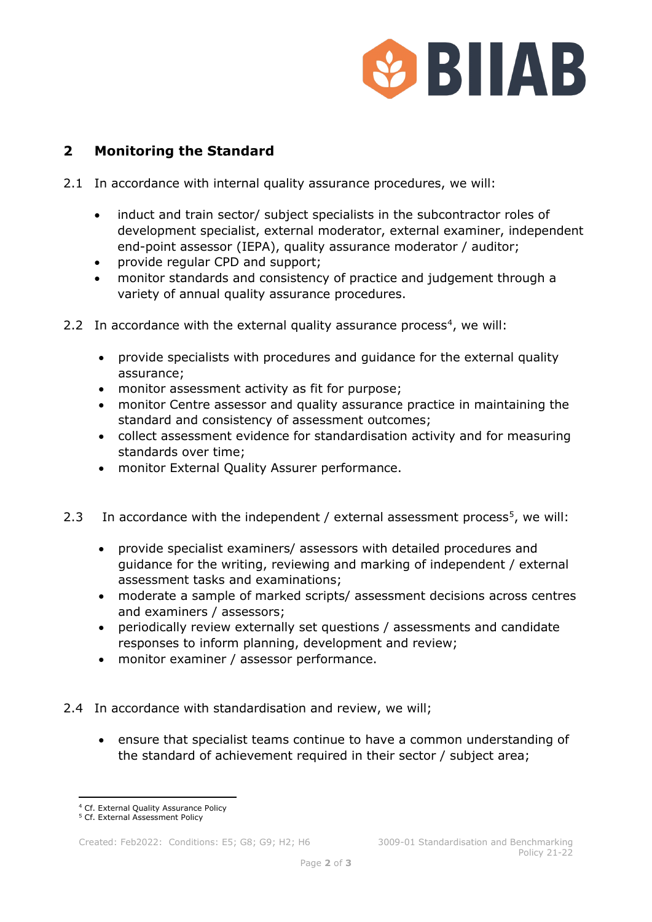

## **2 Monitoring the Standard**

- 2.1 In accordance with internal quality assurance procedures, we will:
	- induct and train sector/ subject specialists in the subcontractor roles of development specialist, external moderator, external examiner, independent end-point assessor (IEPA), quality assurance moderator / auditor;
	- provide regular CPD and support;
	- monitor standards and consistency of practice and judgement through a variety of annual quality assurance procedures.
- 2.2 In accordance with the external quality assurance process<sup>[4](#page-1-0)</sup>, we will:
	- provide specialists with procedures and guidance for the external quality assurance;
	- monitor assessment activity as fit for purpose;
	- monitor Centre assessor and quality assurance practice in maintaining the standard and consistency of assessment outcomes;
	- collect assessment evidence for standardisation activity and for measuring standards over time;
	- monitor External Quality Assurer performance.
- 2.3 In accordance with the independent / external assessment process<sup>5</sup>, we will:
	- provide specialist examiners/ assessors with detailed procedures and guidance for the writing, reviewing and marking of independent / external assessment tasks and examinations;
	- moderate a sample of marked scripts/ assessment decisions across centres and examiners / assessors;
	- periodically review externally set questions / assessments and candidate responses to inform planning, development and review;
	- monitor examiner / assessor performance.
- 2.4 In accordance with standardisation and review, we will;
	- ensure that specialist teams continue to have a common understanding of the standard of achievement required in their sector / subject area;

<sup>4</sup> Cf. External Quality Assurance Policy

<span id="page-1-1"></span><span id="page-1-0"></span><sup>5</sup> Cf. External Assessment Policy